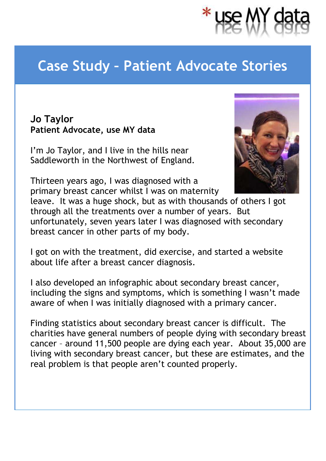## **Case Study – Patient Advocate Stories**

## **Jo Taylor Patient Advocate, use MY data**

I'm Jo Taylor, and I live in the hills near Saddleworth in the Northwest of England.

Thirteen years ago, I was diagnosed with a primary breast cancer whilst I was on maternity



leave. It was a huge shock, but as with thousands of others I got through all the treatments over a number of years. But unfortunately, seven years later I was diagnosed with secondary breast cancer in other parts of my body.

I got on with the treatment, did exercise, and started a website about life after a breast cancer diagnosis.

I also developed an infographic about secondary breast cancer, including the signs and symptoms, which is something I wasn't made aware of when I was initially diagnosed with a primary cancer.

Finding statistics about secondary breast cancer is difficult. The charities have general numbers of people dying with secondary breast cancer – around 11,500 people are dying each year. About 35,000 are living with secondary breast cancer, but these are estimates, and the real problem is that people aren't counted properly.